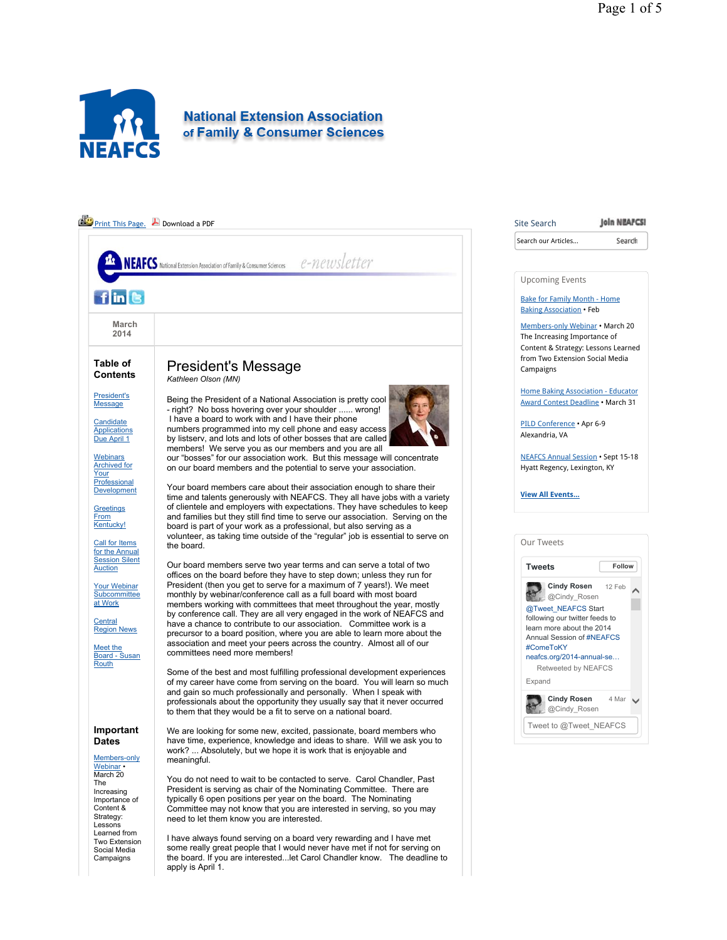

#### **Join NEAFCS! Print This Page.** Download a PDF Site Search Search our Articles... Search e-newsletter **VEAFCS** National Extension Association of Family & Consumer Sciences Upcoming Events  $f\ln$  8 Bake for Family Month - Home Baking Association • Feb **March**  Members-only Webinar • March 20 **2014** The Increasing Importance of Content & Strategy: Lessons Learned from Two Extension Social Media **Table of**  President's Message Campaigns **Contents** *Kathleen Olson (MN)* Home Baking Association - Educator President's Being the President of a National Association is pretty cool Award Contest Deadline • March 31 **Message** - right? No boss hovering over your shoulder ...... wrong! I have a board to work with and I have their phone **Candidate** PILD Conference • Apr 6-9 numbers programmed into my cell phone and easy access **Applications** Alexandria, VA Due April 1 by listserv, and lots and lots of other bosses that are called members! We serve you as our members and you are all **Webinars** NEAFCS Annual Session • Sept 15-18 our "bosses" for our association work. But this message will concentrate Archived for Hyatt Regency, Lexington, KY on our board members and the potential to serve your association. Your **Professional** Your board members care about their association enough to share their **Development View All Events...** time and talents generously with NEAFCS. They all have jobs with a variety of clientele and employers with expectations. They have schedules to keep **Greetings From** and families but they still find time to serve our association. Serving on the Kentucky! board is part of your work as a professional, but also serving as a volunteer, as taking time outside of the "regular" job is essential to serve on Our Tweets Call for Items the board. for the Annual Session Silent Our board members serve two year terms and can serve a total of two **Tweets Follow** Auction offices on the board before they have to step down; unless they run for President (then you get to serve for a maximum of 7 years!). We meet **Cindy Rosen** Your Webinar Cinay Nussen 12 Feb  $\triangle$ **Subcommittee** monthly by webinar/conference call as a full board with most board at Work members working with committees that meet throughout the year, mostly @Tweet\_NEAFCS Start by conference call. They are all very engaged in the work of NEAFCS and following our twitter feeds to **Central** have a chance to contribute to our association. Committee work is a learn more about the 2014 Region News precursor to a board position, where you are able to learn more about the Annual Session of #NEAFCS association and meet your peers across the country. Almost all of our Meet the #ComeToKY committees need more members! Board - Susan neafcs.org/2014-annual-se... **Routh** Retweeted by NEAFCS Some of the best and most fulfilling professional development experiences Expand of my career have come from serving on the board. You will learn so much and gain so much professionally and personally. When I speak with **Cindy Rosen**  $4$  Mar  $\vee$ professionals about the opportunity they usually say that it never occurred @Cindy\_Rosen to them that they would be a fit to serve on a national board. Tweet to @Tweet\_NEAFCS **Important**  We are looking for some new, excited, passionate, board members who have time, experience, knowledge and ideas to share. Will we ask you to **Dates** work? ... Absolutely, but we hope it is work that is enjoyable and Members-only meaningful. Webinar • March 20 You do not need to wait to be contacted to serve. Carol Chandler, Past The President is serving as chair of the Nominating Committee. There are Increasing typically 6 open positions per year on the board. The Nominating Importance of Content & Committee may not know that you are interested in serving, so you may Strategy: need to let them know you are interested. Lessons Learned from I have always found serving on a board very rewarding and I have met Two Extension some really great people that I would never have met if not for serving on Social Media **Campaigns** the board. If you are interested...let Carol Chandler know. The deadline to apply is April 1.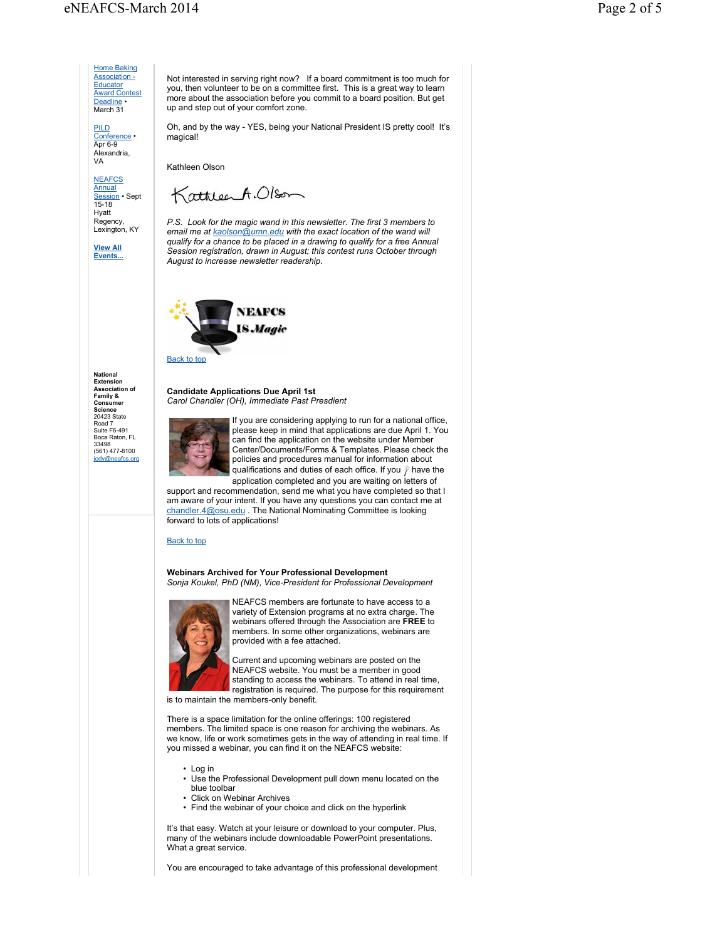**Home Baking** Association - **Educator** Award Contest Deadline • March 31

PILD Conference • Apr 6-9 Alexandria, VA

**NEAFCS** <mark>Annual</mark><br>Session • Sept<br>15-18 Hyatt Regency, Lexington, KY

**View All Events...** Not interested in serving right now? If a board commitment is too much for you, then volunteer to be on a committee first. This is a great way to learn more about the association before you commit to a board position. But get up and step out of your comfort zone.

Oh, and by the way - YES, being your National President IS pretty cool! It's magical!

Kathleen Olson

KathleenA.Olson

*P.S. Look for the magic wand in this newsletter. The first 3 members to email me at kaolson@umn.edu with the exact location of the wand will qualify for a chance to be placed in a drawing to qualify for a free Annual Session registration, drawn in August; this contest runs October through August to increase newsletter readership.*



**National Extension Association of Family & Consumer Science** 20423 State Road 7 Suite F6-491 Boca Raton, FL 33498 (561) 477-8100 jody@neafcs.org

**Candidate Applications Due April 1st** *Carol Chandler (OH), Immediate Past Presdient*



If you are considering applying to run for a national office, please keep in mind that applications are due April 1. You can find the application on the website under Member Center/Documents/Forms & Templates. Please check the policies and procedures manual for information about qualifications and duties of each office. If you  $\hat{I}$  have the

application completed and you are waiting on letters of support and recommendation, send me what you have completed so that I am aware of your intent. If you have any questions you can contact me at chandler.4@osu.edu . The National Nominating Committee is looking forward to lots of applications!

#### Back to top

**Webinars Archived for Your Professional Development** *Sonja Koukel, PhD (NM)*, *Vice-President for Professional Development*



NEAFCS members are fortunate to have access to a variety of Extension programs at no extra charge. The webinars offered through the Association are **FREE** to members. In some other organizations, webinars are provided with a fee attached.

Current and upcoming webinars are posted on the NEAFCS website. You must be a member in good standing to access the webinars. To attend in real time, registration is required. The purpose for this requirement

is to maintain the members-only benefit.

There is a space limitation for the online offerings: 100 registered members. The limited space is one reason for archiving the webinars. As we know, life or work sometimes gets in the way of attending in real time. If you missed a webinar, you can find it on the NEAFCS website:

• Log in

- Use the Professional Development pull down menu located on the blue toolbar
- Click on Webinar Archives
- Find the webinar of your choice and click on the hyperlink

It's that easy. Watch at your leisure or download to your computer. Plus, many of the webinars include downloadable PowerPoint presentations. What a great service.

You are encouraged to take advantage of this professional development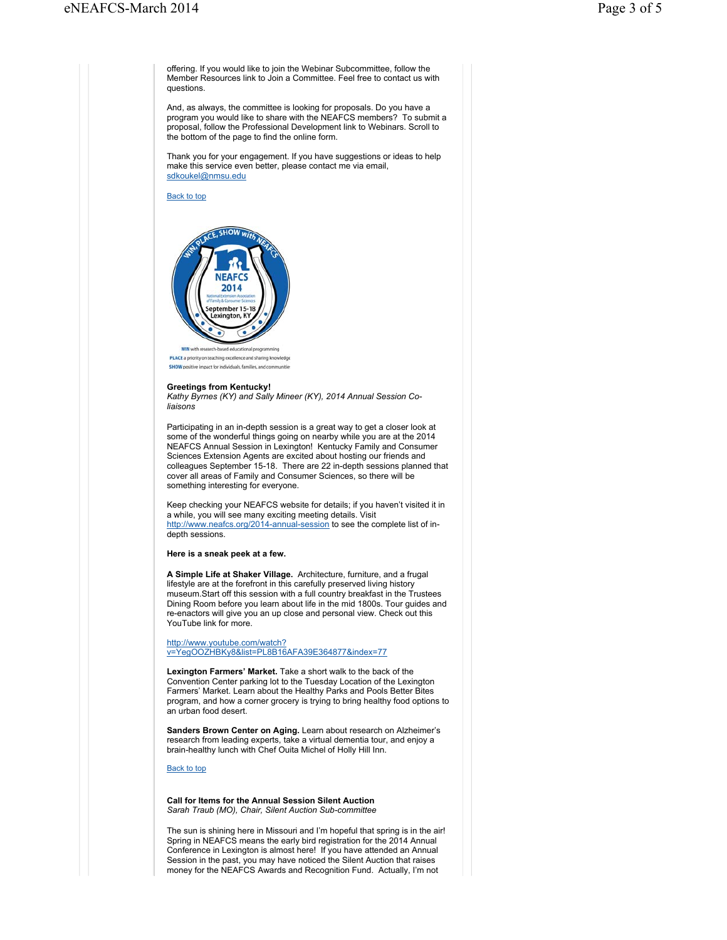offering. If you would like to join the Webinar Subcommittee, follow the Member Resources link to Join a Committee. Feel free to contact us with questions.

And, as always, the committee is looking for proposals. Do you have a program you would like to share with the NEAFCS members? To submit a proposal, follow the Professional Development link to Webinars. Scroll to the bottom of the page to find the online form.

Thank you for your engagement. If you have suggestions or ideas to help make this service even better, please contact me via email, sdkoukel@nmsu.edu

Back to top



PLACE a priority on teaching excellence and sharing knowledge SHOW positive impact for individuals, families, and communitie

## **Greetings from Kentucky!**

*Kathy Byrnes (KY) and Sally Mineer (KY), 2014 Annual Session Coliaisons*

Participating in an in-depth session is a great way to get a closer look at some of the wonderful things going on nearby while you are at the 2014 NEAFCS Annual Session in Lexington! Kentucky Family and Consumer Sciences Extension Agents are excited about hosting our friends and colleagues September 15-18. There are 22 in-depth sessions planned that cover all areas of Family and Consumer Sciences, so there will be something interesting for everyone.

Keep checking your NEAFCS website for details; if you haven't visited it in a while, you will see many exciting meeting details. Visit http://www.neafcs.org/2014-annual-session to see the complete list of indepth sessions.

**Here is a sneak peek at a few.**

**A Simple Life at Shaker Village.** Architecture, furniture, and a frugal lifestyle are at the forefront in this carefully preserved living history museum.Start off this session with a full country breakfast in the Trustees Dining Room before you learn about life in the mid 1800s. Tour guides and re-enactors will give you an up close and personal view. Check out this YouTube link for more.

#### http://www.youtube.com/watch? v=YegOOZHBKy8&list=PL8B16AFA39E364877&index=77

**Lexington Farmers' Market.** Take a short walk to the back of the Convention Center parking lot to the Tuesday Location of the Lexington Farmers' Market. Learn about the Healthy Parks and Pools Better Bites program, and how a corner grocery is trying to bring healthy food options to an urban food desert.

**Sanders Brown Center on Aging.** Learn about research on Alzheimer's research from leading experts, take a virtual dementia tour, and enjoy a brain-healthy lunch with Chef Ouita Michel of Holly Hill Inn.

Back to top

#### **Call for Items for the Annual Session Silent Auction** *Sarah Traub (MO), Chair, Silent Auction Sub-committee*

The sun is shining here in Missouri and I'm hopeful that spring is in the air! Spring in NEAFCS means the early bird registration for the 2014 Annual Conference in Lexington is almost here! If you have attended an Annual Session in the past, you may have noticed the Silent Auction that raises money for the NEAFCS Awards and Recognition Fund. Actually, I'm not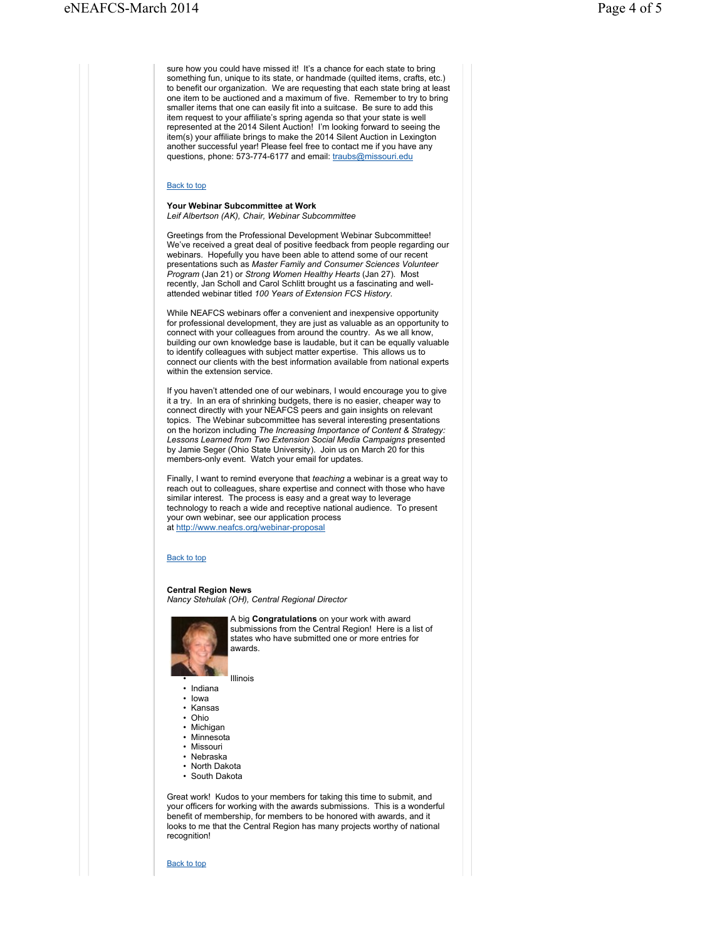sure how you could have missed it! It's a chance for each state to bring something fun, unique to its state, or handmade (quilted items, crafts, etc.) to benefit our organization. We are requesting that each state bring at least one item to be auctioned and a maximum of five. Remember to try to bring smaller items that one can easily fit into a suitcase. Be sure to add this item request to your affiliate's spring agenda so that your state is well represented at the 2014 Silent Auction! I'm looking forward to seeing the item(s) your affiliate brings to make the 2014 Silent Auction in Lexington another successful year! Please feel free to contact me if you have any questions, phone: 573-774-6177 and email: traubs@missouri.edu

### Back to top

#### **Your Webinar Subcommittee at Work** *Leif Albertson (AK), Chair, Webinar Subcommittee*

Greetings from the Professional Development Webinar Subcommittee! We've received a great deal of positive feedback from people regarding our webinars. Hopefully you have been able to attend some of our recent presentations such as *Master Family and Consumer Sciences Volunteer Program* (Jan 21) or *Strong Women Healthy Hearts* (Jan 27). Most recently, Jan Scholl and Carol Schlitt brought us a fascinating and wellattended webinar titled *100 Years of Extension FCS History*.

While NEAFCS webinars offer a convenient and inexpensive opportunity for professional development, they are just as valuable as an opportunity to connect with your colleagues from around the country. As we all know, building our own knowledge base is laudable, but it can be equally valuable to identify colleagues with subject matter expertise. This allows us to connect our clients with the best information available from national experts within the extension service.

If you haven't attended one of our webinars, I would encourage you to give it a try. In an era of shrinking budgets, there is no easier, cheaper way to connect directly with your NEAFCS peers and gain insights on relevant topics. The Webinar subcommittee has several interesting presentations on the horizon including *The Increasing Importance of Content & Strategy: Lessons Learned from Two Extension Social Media Campaigns* presented by Jamie Seger (Ohio State University). Join us on March 20 for this members-only event. Watch your email for updates.

Finally, I want to remind everyone that *teaching* a webinar is a great way to reach out to colleagues, share expertise and connect with those who have similar interest. The process is easy and a great way to leverage technology to reach a wide and receptive national audience. To present your own webinar, see our application process at http://www.neafcs.org/webinar-proposal

#### Back to top

# **Central Region News**

*Nancy Stehulak (OH), Central Regional Director*



A big **Congratulations** on your work with award submissions from the Central Region! Here is a list of states who have submitted one or more entries for awards.

• Illinois

- Indiana
- Iowa
- Kansas
- Ohio
- Michigan
- Minnesota
- Missouri • Nebraska
- 
- North Dakota
- South Dakota

Great work! Kudos to your members for taking this time to submit, and your officers for working with the awards submissions. This is a wonderful benefit of membership, for members to be honored with awards, and it looks to me that the Central Region has many projects worthy of national recognition!

Back to top